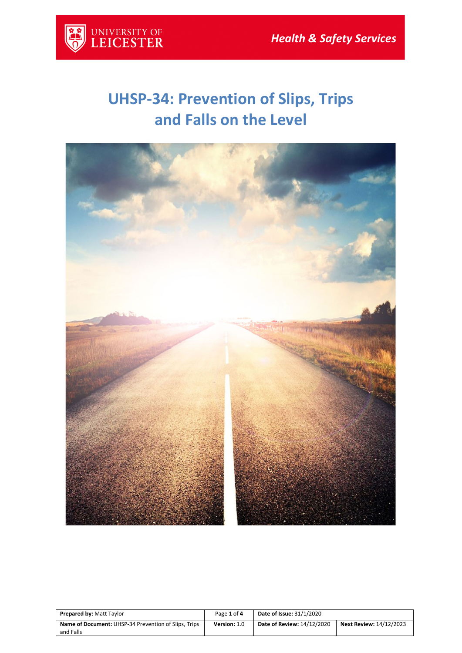

## **UHSP-34: Prevention of Slips, Trips and Falls on the Level**



| <b>Prepared by: Matt Taylor</b>                                   | Page 1 of 4  | <b>Date of Issue: 31/1/2020</b> |                                |
|-------------------------------------------------------------------|--------------|---------------------------------|--------------------------------|
| Name of Document: UHSP-34 Prevention of Slips, Trips<br>and Falls | Version: 1.0 | Date of Review: 14/12/2020      | <b>Next Review: 14/12/2023</b> |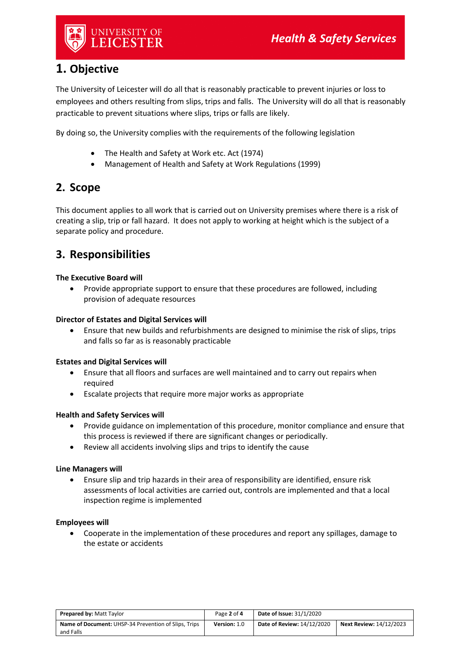

## **1. Objective**

The University of Leicester will do all that is reasonably practicable to prevent injuries or loss to employees and others resulting from slips, trips and falls. The University will do all that is reasonably practicable to prevent situations where slips, trips or falls are likely.

By doing so, the University complies with the requirements of the following legislation

- The Health and Safety at Work etc. Act (1974)
- Management of Health and Safety at Work Regulations (1999)

## **2. Scope**

This document applies to all work that is carried out on University premises where there is a risk of creating a slip, trip or fall hazard. It does not apply to working at height which is the subject of a separate policy and procedure.

## **3. Responsibilities**

#### **The Executive Board will**

• Provide appropriate support to ensure that these procedures are followed, including provision of adequate resources

#### **Director of Estates and Digital Services will**

• Ensure that new builds and refurbishments are designed to minimise the risk of slips, trips and falls so far as is reasonably practicable

#### **Estates and Digital Services will**

- Ensure that all floors and surfaces are well maintained and to carry out repairs when required
- Escalate projects that require more major works as appropriate

#### **Health and Safety Services will**

- Provide guidance on implementation of this procedure, monitor compliance and ensure that this process is reviewed if there are significant changes or periodically.
- Review all accidents involving slips and trips to identify the cause

#### **Line Managers will**

• Ensure slip and trip hazards in their area of responsibility are identified, ensure risk assessments of local activities are carried out, controls are implemented and that a local inspection regime is implemented

#### **Employees will**

• Cooperate in the implementation of these procedures and report any spillages, damage to the estate or accidents

| <b>Prepared by: Matt Taylor</b>                             | Page 2 of 4  | <b>Date of Issue: 31/1/2020</b> |                                |
|-------------------------------------------------------------|--------------|---------------------------------|--------------------------------|
| <b>Name of Document:</b> UHSP-34 Prevention of Slips, Trips | Version: 1.0 | Date of Review: 14/12/2020      | <b>Next Review: 14/12/2023</b> |
| and Falls                                                   |              |                                 |                                |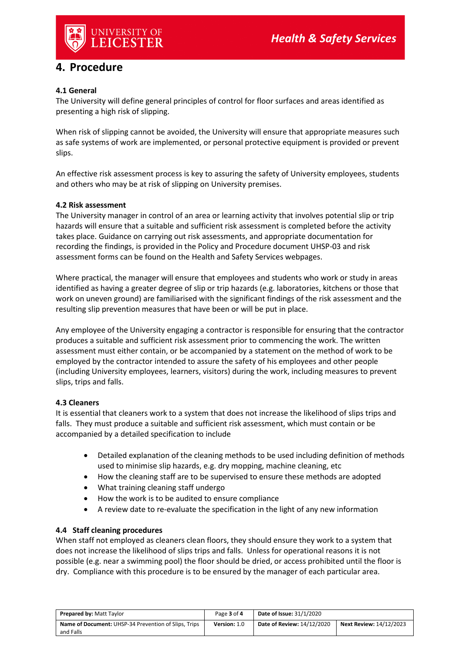

## **4. Procedure**

#### **4.1 General**

The University will define general principles of control for floor surfaces and areas identified as presenting a high risk of slipping.

When risk of slipping cannot be avoided, the University will ensure that appropriate measures such as safe systems of work are implemented, or personal protective equipment is provided or prevent slips.

An effective risk assessment process is key to assuring the safety of University employees, students and others who may be at risk of slipping on University premises.

#### **4.2 Risk assessment**

The University manager in control of an area or learning activity that involves potential slip or trip hazards will ensure that a suitable and sufficient risk assessment is completed before the activity takes place. Guidance on carrying out risk assessments, and appropriate documentation for recording the findings, is provided in the Policy and Procedure document UHSP-03 and risk assessment forms can be found on the Health and Safety Services webpages.

Where practical, the manager will ensure that employees and students who work or study in areas identified as having a greater degree of slip or trip hazards (e.g. laboratories, kitchens or those that work on uneven ground) are familiarised with the significant findings of the risk assessment and the resulting slip prevention measures that have been or will be put in place.

Any employee of the University engaging a contractor is responsible for ensuring that the contractor produces a suitable and sufficient risk assessment prior to commencing the work. The written assessment must either contain, or be accompanied by a statement on the method of work to be employed by the contractor intended to assure the safety of his employees and other people (including University employees, learners, visitors) during the work, including measures to prevent slips, trips and falls.

#### **4.3 Cleaners**

It is essential that cleaners work to a system that does not increase the likelihood of slips trips and falls. They must produce a suitable and sufficient risk assessment, which must contain or be accompanied by a detailed specification to include

- Detailed explanation of the cleaning methods to be used including definition of methods used to minimise slip hazards, e.g. dry mopping, machine cleaning, etc
- How the cleaning staff are to be supervised to ensure these methods are adopted
- What training cleaning staff undergo
- How the work is to be audited to ensure compliance
- A review date to re-evaluate the specification in the light of any new information

#### **4.4 Staff cleaning procedures**

When staff not employed as cleaners clean floors, they should ensure they work to a system that does not increase the likelihood of slips trips and falls. Unless for operational reasons it is not possible (e.g. near a swimming pool) the floor should be dried, or access prohibited until the floor is dry. Compliance with this procedure is to be ensured by the manager of each particular area.

| <b>Prepared by: Matt Taylor</b>                      | Page 3 of 4  | Date of Issue: 31/1/2020   |                                |
|------------------------------------------------------|--------------|----------------------------|--------------------------------|
| Name of Document: UHSP-34 Prevention of Slips, Trips | Version: 1.0 | Date of Review: 14/12/2020 | <b>Next Review: 14/12/2023</b> |
| and Falls                                            |              |                            |                                |